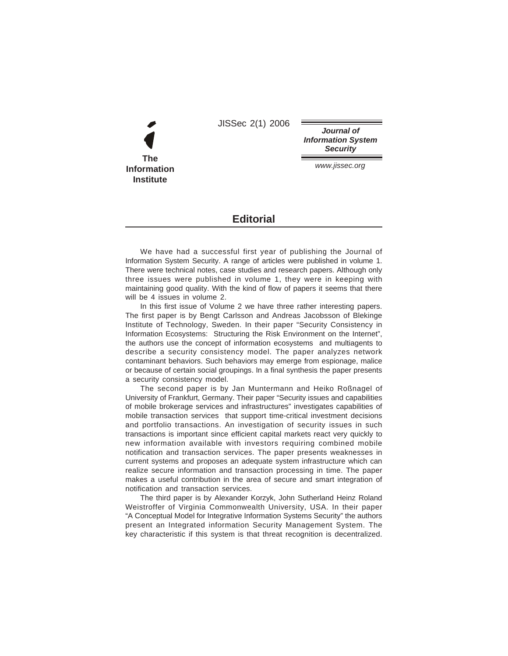JISSec 2(1) 2006



**Journal of Information System Security**

www.jissec.org

## **Editorial**

We have had a successful first year of publishing the Journal of Information System Security. A range of articles were published in volume 1. There were technical notes, case studies and research papers. Although only three issues were published in volume 1, they were in keeping with maintaining good quality. With the kind of flow of papers it seems that there will be 4 issues in volume 2.

In this first issue of Volume 2 we have three rather interesting papers. The first paper is by Bengt Carlsson and Andreas Jacobsson of Blekinge Institute of Technology, Sweden. In their paper "Security Consistency in Information Ecosystems: Structuring the Risk Environment on the Internet", the authors use the concept of information ecosystems and multiagents to describe a security consistency model. The paper analyzes network contaminant behaviors. Such behaviors may emerge from espionage, malice or because of certain social groupings. In a final synthesis the paper presents a security consistency model.

The second paper is by Jan Muntermann and Heiko Roßnagel of University of Frankfurt, Germany. Their paper "Security issues and capabilities of mobile brokerage services and infrastructures" investigates capabilities of mobile transaction services that support time-critical investment decisions and portfolio transactions. An investigation of security issues in such transactions is important since efficient capital markets react very quickly to new information available with investors requiring combined mobile notification and transaction services. The paper presents weaknesses in current systems and proposes an adequate system infrastructure which can realize secure information and transaction processing in time. The paper makes a useful contribution in the area of secure and smart integration of notification and transaction services.

The third paper is by Alexander Korzyk, John Sutherland Heinz Roland Weistroffer of Virginia Commonwealth University, USA. In their paper "A Conceptual Model for Integrative Information Systems Security" the authors present an Integrated information Security Management System. The key characteristic if this system is that threat recognition is decentralized.